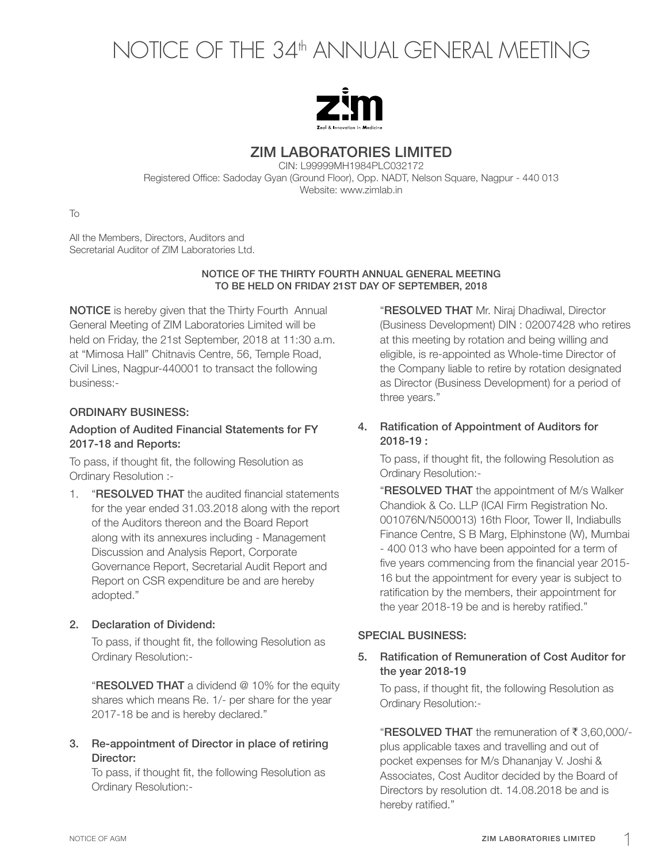# NOTICE OF THE 34th ANNUAL GENERAL MEETING



# ZIM LABORATORIES LIMITED

CIN: L99999MH1984PLC032172 Registered Office: Sadoday Gyan (Ground Floor), Opp. NADT, Nelson Square, Nagpur - 440 013 Website: www.zimlab.in

To

All the Members, Directors, Auditors and Secretarial Auditor of ZIM Laboratories Ltd.

### NOTICE OF THE THIRTY FOURTH ANNUAL GENERAL MEETING TO BE HELD ON FRIDAY 21ST DAY OF SEPTEMBER, 2018

NOTICE is hereby given that the Thirty Fourth Annual General Meeting of ZIM Laboratories Limited will be held on Friday, the 21st September, 2018 at 11:30 a.m. at "Mimosa Hall" Chitnavis Centre, 56, Temple Road, Civil Lines, Nagpur-440001 to transact the following business:-

# ORDINARY BUSINESS:

# Adoption of Audited Financial Statements for FY 2017-18 and Reports:

To pass, if thought fit, the following Resolution as Ordinary Resolution :-

1. **"RESOLVED THAT** the audited financial statements for the year ended 31.03.2018 along with the report of the Auditors thereon and the Board Report along with its annexures including - Management Discussion and Analysis Report, Corporate Governance Report, Secretarial Audit Report and Report on CSR expenditure be and are hereby adopted."

# 2. Declaration of Dividend:

To pass, if thought fit, the following Resolution as Ordinary Resolution:-

**"RESOLVED THAT** a dividend @ 10% for the equity shares which means Re. 1/- per share for the year 2017-18 be and is hereby declared."

# 3. Re-appointment of Director in place of retiring Director:

To pass, if thought fit, the following Resolution as Ordinary Resolution:-

"RESOLVED THAT Mr. Niraj Dhadiwal, Director (Business Development) DIN : 02007428 who retires at this meeting by rotation and being willing and eligible, is re-appointed as Whole-time Director of the Company liable to retire by rotation designated as Director (Business Development) for a period of three years."

## 4. Ratification of Appointment of Auditors for 2018-19 :

To pass, if thought fit, the following Resolution as Ordinary Resolution:-

**"RESOLVED THAT** the appointment of M/s Walker Chandiok & Co. LLP (ICAI Firm Registration No. 001076N/N500013) 16th Floor, Tower II, Indiabulls Finance Centre, S B Marg, Elphinstone (W), Mumbai - 400 013 who have been appointed for a term of five years commencing from the financial year 2015- 16 but the appointment for every year is subject to ratification by the members, their appointment for the year 2018-19 be and is hereby ratified."

# SPECIAL BUSINESS:

# 5. Ratification of Remuneration of Cost Auditor for the year 2018-19

To pass, if thought fit, the following Resolution as Ordinary Resolution:-

"RESOLVED THAT the remuneration of  $\bar{\tau}$  3.60,000/plus applicable taxes and travelling and out of pocket expenses for M/s Dhananjay V. Joshi & Associates, Cost Auditor decided by the Board of Directors by resolution dt. 14.08.2018 be and is hereby ratified."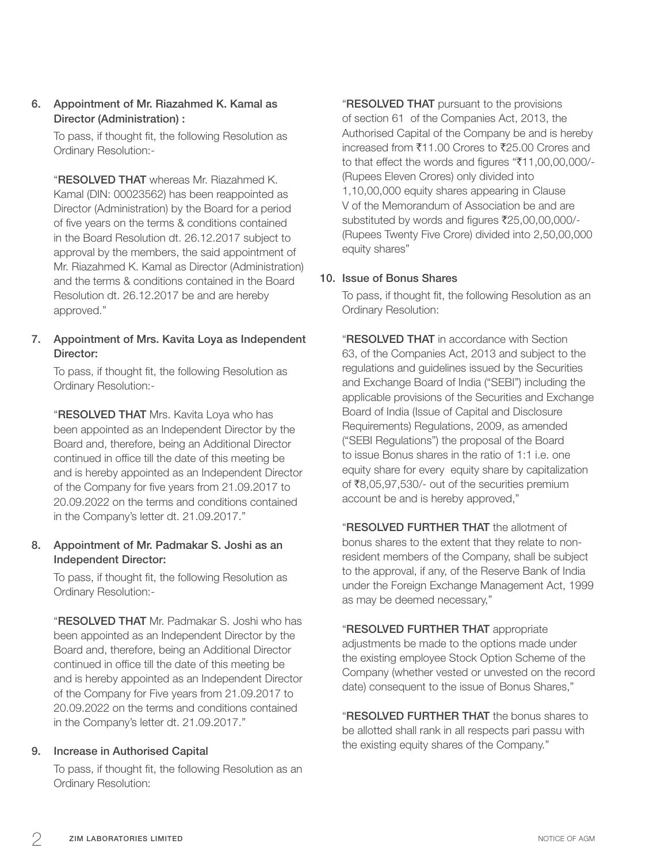6. Appointment of Mr. Riazahmed K. Kamal as Director (Administration) :

To pass, if thought fit, the following Resolution as Ordinary Resolution:-

"RESOLVED THAT whereas Mr. Riazahmed K. Kamal (DIN: 00023562) has been reappointed as Director (Administration) by the Board for a period of five years on the terms & conditions contained in the Board Resolution dt. 26.12.2017 subject to approval by the members, the said appointment of Mr. Riazahmed K. Kamal as Director (Administration) and the terms & conditions contained in the Board Resolution dt. 26.12.2017 be and are hereby approved."

# 7. Appointment of Mrs. Kavita Loya as Independent Director:

To pass, if thought fit, the following Resolution as Ordinary Resolution:-

"RESOLVED THAT Mrs. Kavita Loya who has been appointed as an Independent Director by the Board and, therefore, being an Additional Director continued in office till the date of this meeting be and is hereby appointed as an Independent Director of the Company for five years from 21.09.2017 to 20.09.2022 on the terms and conditions contained in the Company's letter dt. 21.09.2017."

## 8. Appointment of Mr. Padmakar S. Joshi as an Independent Director:

To pass, if thought fit, the following Resolution as Ordinary Resolution:-

"RESOLVED THAT Mr. Padmakar S. Joshi who has been appointed as an Independent Director by the Board and, therefore, being an Additional Director continued in office till the date of this meeting be and is hereby appointed as an Independent Director of the Company for Five years from 21.09.2017 to 20.09.2022 on the terms and conditions contained in the Company's letter dt. 21.09.2017."

## 9. Increase in Authorised Capital

To pass, if thought fit, the following Resolution as an Ordinary Resolution:

"RESOLVED THAT pursuant to the provisions of section 61 of the Companies Act, 2013, the Authorised Capital of the Company be and is hereby increased from ₹11.00 Crores to ₹25.00 Crores and to that effect the words and figures " $\text{\textsterling}11,00,00,000$ /-(Rupees Eleven Crores) only divided into 1,10,00,000 equity shares appearing in Clause V of the Memorandum of Association be and are substituted by words and figures ₹25,00,00,000/-(Rupees Twenty Five Crore) divided into 2,50,00,000 equity shares"

## 10. Issue of Bonus Shares

To pass, if thought fit, the following Resolution as an Ordinary Resolution:

"RESOLVED THAT in accordance with Section 63, of the Companies Act, 2013 and subject to the regulations and guidelines issued by the Securities and Exchange Board of India ("SEBI") including the applicable provisions of the Securities and Exchange Board of India (Issue of Capital and Disclosure Requirements) Regulations, 2009, as amended ("SEBI Regulations") the proposal of the Board to issue Bonus shares in the ratio of 1:1 i.e. one equity share for every equity share by capitalization of  $\text{\textsterling}8,05,97,530/-$  out of the securities premium account be and is hereby approved,"

"RESOLVED FURTHER THAT the allotment of bonus shares to the extent that they relate to nonresident members of the Company, shall be subject to the approval, if any, of the Reserve Bank of India under the Foreign Exchange Management Act, 1999 as may be deemed necessary,"

## "RESOLVED FURTHER THAT appropriate

adjustments be made to the options made under the existing employee Stock Option Scheme of the Company (whether vested or unvested on the record date) consequent to the issue of Bonus Shares,"

"RESOLVED FURTHER THAT the bonus shares to be allotted shall rank in all respects pari passu with the existing equity shares of the Company."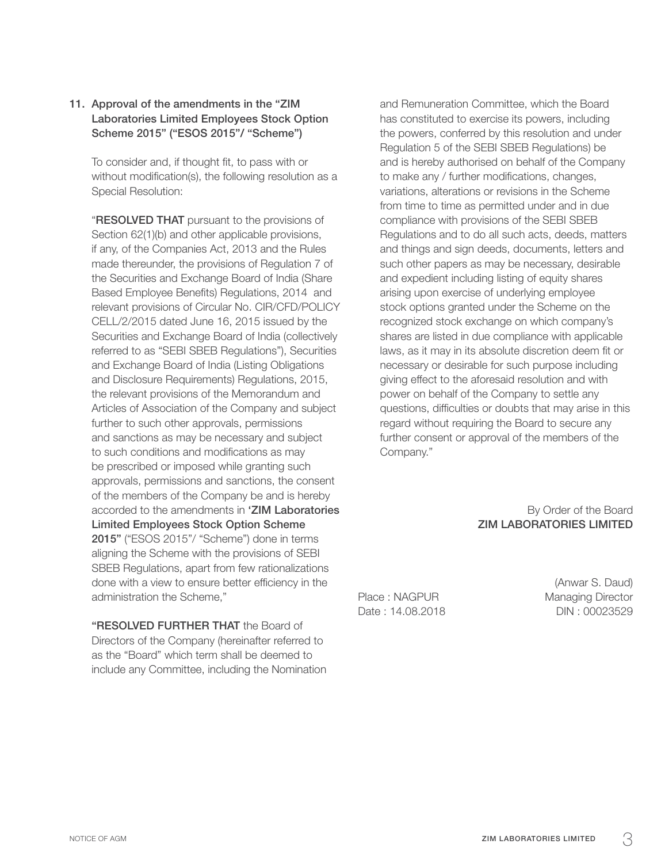## 11. Approval of the amendments in the "ZIM Laboratories Limited Employees Stock Option Scheme 2015" ("ESOS 2015"/ "Scheme")

To consider and, if thought fit, to pass with or without modification(s), the following resolution as a Special Resolution:

"RESOLVED THAT pursuant to the provisions of Section 62(1)(b) and other applicable provisions, if any, of the Companies Act, 2013 and the Rules made thereunder, the provisions of Regulation 7 of the Securities and Exchange Board of India (Share Based Employee Benefits) Regulations, 2014 and relevant provisions of Circular No. CIR/CFD/POLICY CELL/2/2015 dated June 16, 2015 issued by the Securities and Exchange Board of India (collectively referred to as "SEBI SBEB Regulations"), Securities and Exchange Board of India (Listing Obligations and Disclosure Requirements) Regulations, 2015, the relevant provisions of the Memorandum and Articles of Association of the Company and subject further to such other approvals, permissions and sanctions as may be necessary and subject to such conditions and modifications as may be prescribed or imposed while granting such approvals, permissions and sanctions, the consent of the members of the Company be and is hereby accorded to the amendments in 'ZIM Laboratories Limited Employees Stock Option Scheme 2015" ("ESOS 2015"/ "Scheme") done in terms aligning the Scheme with the provisions of SEBI SBEB Regulations, apart from few rationalizations done with a view to ensure better efficiency in the administration the Scheme,"

"RESOLVED FURTHER THAT the Board of Directors of the Company (hereinafter referred to as the "Board" which term shall be deemed to include any Committee, including the Nomination

and Remuneration Committee, which the Board has constituted to exercise its powers, including the powers, conferred by this resolution and under Regulation 5 of the SEBI SBEB Regulations) be and is hereby authorised on behalf of the Company to make any / further modifications, changes, variations, alterations or revisions in the Scheme from time to time as permitted under and in due compliance with provisions of the SEBI SBEB Regulations and to do all such acts, deeds, matters and things and sign deeds, documents, letters and such other papers as may be necessary, desirable and expedient including listing of equity shares arising upon exercise of underlying employee stock options granted under the Scheme on the recognized stock exchange on which company's shares are listed in due compliance with applicable laws, as it may in its absolute discretion deem fit or necessary or desirable for such purpose including giving effect to the aforesaid resolution and with power on behalf of the Company to settle any questions, difficulties or doubts that may arise in this regard without requiring the Board to secure any further consent or approval of the members of the Company."

> By Order of the Board ZIM LABORATORIES LIMITED

Place : NAGPUR Managing Director Date: 14.08.2018 DIN: 00023529

(Anwar S. Daud)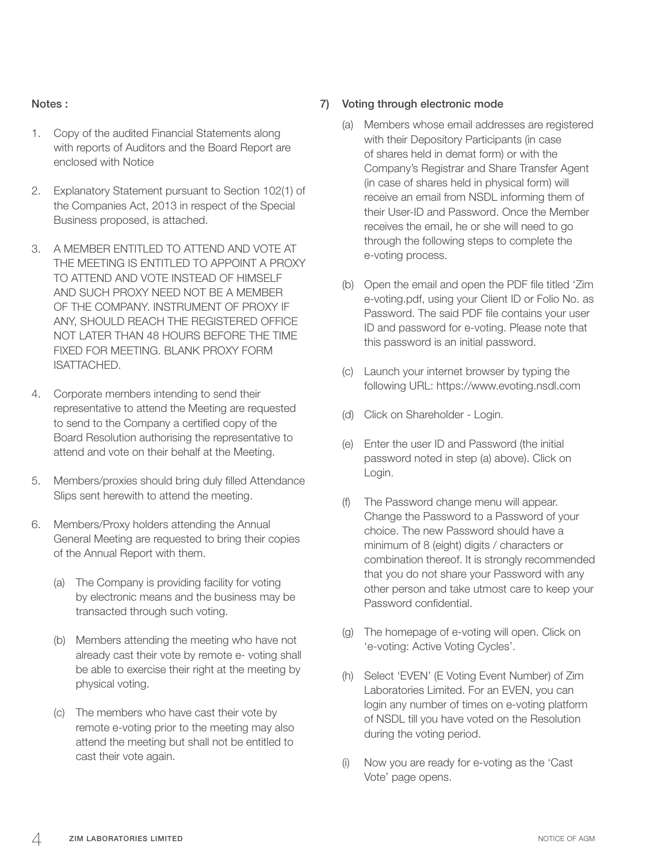## Notes :

- 1. Copy of the audited Financial Statements along with reports of Auditors and the Board Report are enclosed with Notice
- 2. Explanatory Statement pursuant to Section 102(1) of the Companies Act, 2013 in respect of the Special Business proposed, is attached.
- 3. A MEMBER ENTITLED TO ATTEND AND VOTE AT THE MEETING IS ENTITLED TO APPOINT A PROXY TO ATTEND AND VOTE INSTEAD OF HIMSELF AND SUCH PROXY NEED NOT BE A MEMBER OF THE COMPANY. INSTRUMENT OF PROXY IF ANY, SHOULD REACH THE REGISTERED OFFICE NOT LATER THAN 48 HOURS BEFORE THE TIME FIXED FOR MEETING. BLANK PROXY FORM ISATTACHED.
- 4. Corporate members intending to send their representative to attend the Meeting are requested to send to the Company a certified copy of the Board Resolution authorising the representative to attend and vote on their behalf at the Meeting.
- 5. Members/proxies should bring duly filled Attendance Slips sent herewith to attend the meeting.
- 6. Members/Proxy holders attending the Annual General Meeting are requested to bring their copies of the Annual Report with them.
	- (a) The Company is providing facility for voting by electronic means and the business may be transacted through such voting.
	- (b) Members attending the meeting who have not already cast their vote by remote e- voting shall be able to exercise their right at the meeting by physical voting.
	- (c) The members who have cast their vote by remote e-voting prior to the meeting may also attend the meeting but shall not be entitled to cast their vote again.

## 7) Voting through electronic mode

- (a) Members whose email addresses are registered with their Depository Participants (in case of shares held in demat form) or with the Company's Registrar and Share Transfer Agent (in case of shares held in physical form) will receive an email from NSDL informing them of their User-ID and Password. Once the Member receives the email, he or she will need to go through the following steps to complete the e-voting process.
- (b) Open the email and open the PDF file titled 'Zim e-voting.pdf, using your Client ID or Folio No. as Password. The said PDF file contains your user ID and password for e-voting. Please note that this password is an initial password.
- (c) Launch your internet browser by typing the following URL: https://www.evoting.nsdl.com
- (d) Click on Shareholder Login.
- (e) Enter the user ID and Password (the initial password noted in step (a) above). Click on Login.
- (f) The Password change menu will appear. Change the Password to a Password of your choice. The new Password should have a minimum of 8 (eight) digits / characters or combination thereof. It is strongly recommended that you do not share your Password with any other person and take utmost care to keep your Password confidential.
- (g) The homepage of e-voting will open. Click on 'e-voting: Active Voting Cycles'.
- (h) Select 'EVEN' (E Voting Event Number) of Zim Laboratories Limited. For an EVEN, you can login any number of times on e-voting platform of NSDL till you have voted on the Resolution during the voting period.
- (i) Now you are ready for e-voting as the 'Cast Vote' page opens.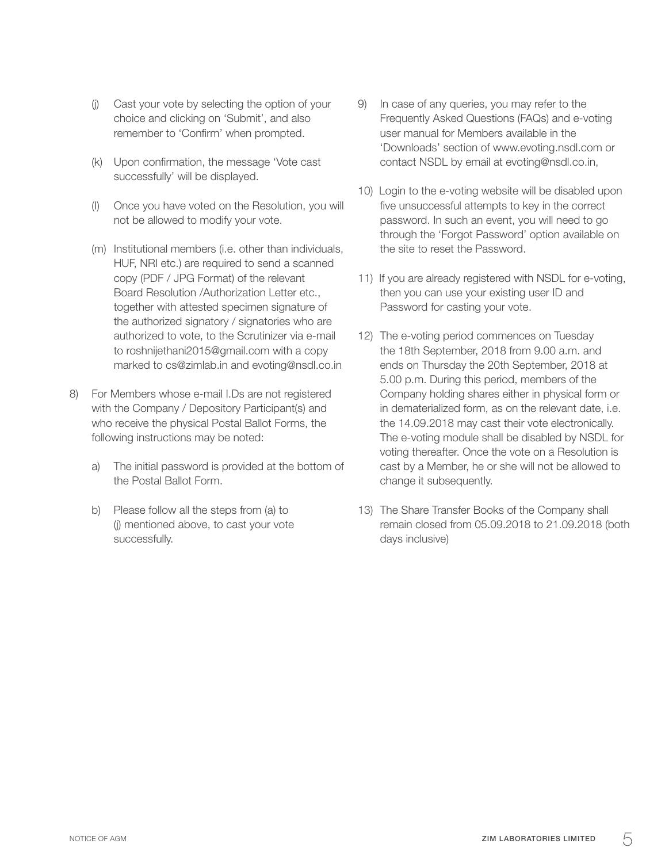- (j) Cast your vote by selecting the option of your choice and clicking on 'Submit', and also remember to 'Confirm' when prompted.
- (k) Upon confirmation, the message 'Vote cast successfully' will be displayed.
- (I) Once you have voted on the Resolution, you will not be allowed to modify your vote.
- (m) Institutional members (i.e. other than individuals, HUF, NRI etc.) are required to send a scanned copy (PDF / JPG Format) of the relevant Board Resolution /Authorization Letter etc., together with attested specimen signature of the authorized signatory / signatories who are authorized to vote, to the Scrutinizer via e-mail to roshnijethani2015@gmail.com with a copy marked to cs@zimlab.in and evoting@nsdl.co.in
- 8) For Members whose e-mail I.Ds are not registered with the Company / Depository Participant(s) and who receive the physical Postal Ballot Forms, the following instructions may be noted:
	- a) The initial password is provided at the bottom of the Postal Ballot Form.
	- b) Please follow all the steps from (a) to (j) mentioned above, to cast your vote successfully.
- 9) In case of any queries, you may refer to the Frequently Asked Questions (FAQs) and e-voting user manual for Members available in the 'Downloads' section of www.evoting.nsdl.com or contact NSDL by email at evoting@nsdl.co.in,
- 10) Login to the e-voting website will be disabled upon five unsuccessful attempts to key in the correct password. In such an event, you will need to go through the 'Forgot Password' option available on the site to reset the Password.
- 11) If you are already registered with NSDL for e-voting, then you can use your existing user ID and Password for casting your vote.
- 12) The e-voting period commences on Tuesday the 18th September, 2018 from 9.00 a.m. and ends on Thursday the 20th September, 2018 at 5.00 p.m. During this period, members of the Company holding shares either in physical form or in dematerialized form, as on the relevant date, i.e. the 14.09.2018 may cast their vote electronically. The e-voting module shall be disabled by NSDL for voting thereafter. Once the vote on a Resolution is cast by a Member, he or she will not be allowed to change it subsequently.
- 13) The Share Transfer Books of the Company shall remain closed from 05.09.2018 to 21.09.2018 (both days inclusive)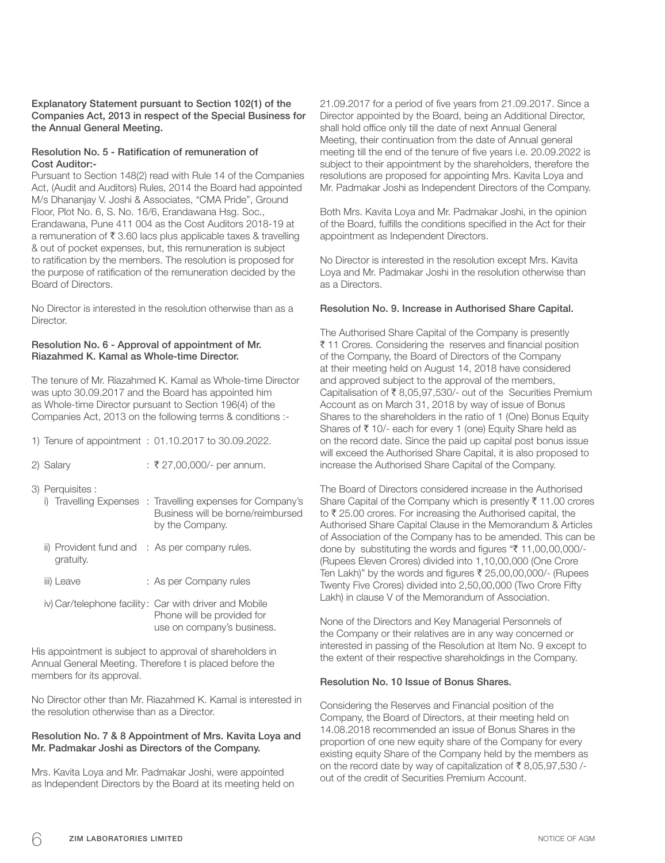#### Explanatory Statement pursuant to Section 102(1) of the Companies Act, 2013 in respect of the Special Business for the Annual General Meeting.

#### Resolution No. 5 - Ratification of remuneration of Cost Auditor:-

Pursuant to Section 148(2) read with Rule 14 of the Companies Act, (Audit and Auditors) Rules, 2014 the Board had appointed M/s Dhananjay V. Joshi & Associates, "CMA Pride", Ground Floor, Plot No. 6, S. No. 16/6, Erandawana Hsg. Soc., Erandawana, Pune 411 004 as the Cost Auditors 2018-19 at a remuneration of  $\bar{\tau}$  3.60 lacs plus applicable taxes & travelling & out of pocket expenses, but, this remuneration is subject to ratification by the members. The resolution is proposed for the purpose of ratification of the remuneration decided by the Board of Directors.

No Director is interested in the resolution otherwise than as a Director.

#### Resolution No. 6 - Approval of appointment of Mr. Riazahmed K. Kamal as Whole-time Director.

The tenure of Mr. Riazahmed K. Kamal as Whole-time Director was upto 30.09.2017 and the Board has appointed him as Whole-time Director pursuant to Section 196(4) of the Companies Act, 2013 on the following terms & conditions :-

|                  | 1) Tenure of appointment : 01.10.2017 to 30.09.2022.                                                               |
|------------------|--------------------------------------------------------------------------------------------------------------------|
| 2) Salary        | : ₹27,00,000/- per annum.                                                                                          |
| 3) Perquisites : | i) Travelling Expenses : Travelling expenses for Company's<br>Business will be borne/reimbursed<br>by the Company. |
| gratuity.        | ii) Provident fund and : As per company rules.                                                                     |
| iii) Leave       | : As per Company rules                                                                                             |
|                  | iv) Car/telephone facility: Car with driver and Mobile<br>Phone will be provided for<br>use on company's business. |

His appointment is subject to approval of shareholders in Annual General Meeting. Therefore t is placed before the members for its approval.

No Director other than Mr. Riazahmed K. Kamal is interested in the resolution otherwise than as a Director.

#### Resolution No. 7 & 8 Appointment of Mrs. Kavita Loya and Mr. Padmakar Joshi as Directors of the Company.

Mrs. Kavita Loya and Mr. Padmakar Joshi, were appointed as Independent Directors by the Board at its meeting held on 21.09.2017 for a period of five years from 21.09.2017. Since a Director appointed by the Board, being an Additional Director, shall hold office only till the date of next Annual General Meeting, their continuation from the date of Annual general meeting till the end of the tenure of five years i.e. 20.09.2022 is subject to their appointment by the shareholders, therefore the resolutions are proposed for appointing Mrs. Kavita Loya and Mr. Padmakar Joshi as Independent Directors of the Company.

Both Mrs. Kavita Loya and Mr. Padmakar Joshi, in the opinion of the Board, fulfills the conditions specified in the Act for their appointment as Independent Directors.

No Director is interested in the resolution except Mrs. Kavita Loya and Mr. Padmakar Joshi in the resolution otherwise than as a Directors.

#### Resolution No. 9. Increase in Authorised Share Capital.

The Authorised Share Capital of the Company is presently ₹ 11 Crores. Considering the reserves and financial position of the Company, the Board of Directors of the Company at their meeting held on August 14, 2018 have considered and approved subject to the approval of the members, Capitalisation of  $\bar{\tau}$  8,05,97,530/- out of the Securities Premium Account as on March 31, 2018 by way of issue of Bonus Shares to the shareholders in the ratio of 1 (One) Bonus Equity Shares of  $\bar{\tau}$  10/- each for every 1 (one) Equity Share held as on the record date. Since the paid up capital post bonus issue will exceed the Authorised Share Capital, it is also proposed to increase the Authorised Share Capital of the Company.

The Board of Directors considered increase in the Authorised Share Capital of the Company which is presently  $\bar{\tau}$  11.00 crores to  $\bar{\tau}$  25.00 crores. For increasing the Authorised capital, the Authorised Share Capital Clause in the Memorandum & Articles of Association of the Company has to be amended. This can be done by substituting the words and figures " $\bar{\tau}$  11,00,00,000/-(Rupees Eleven Crores) divided into 1,10,00,000 (One Crore Ten Lakh)" by the words and figures  $\bar{\tau}$  25,00,00,000/- (Rupees Twenty Five Crores) divided into 2,50,00,000 (Two Crore Fifty Lakh) in clause V of the Memorandum of Association.

None of the Directors and Key Managerial Personnels of the Company or their relatives are in any way concerned or interested in passing of the Resolution at Item No. 9 except to the extent of their respective shareholdings in the Company.

#### Resolution No. 10 Issue of Bonus Shares.

Considering the Reserves and Financial position of the Company, the Board of Directors, at their meeting held on 14.08.2018 recommended an issue of Bonus Shares in the proportion of one new equity share of the Company for every existing equity Share of the Company held by the members as on the record date by way of capitalization of  $\bar{\tau}$  8,05,97,530 /out of the credit of Securities Premium Account.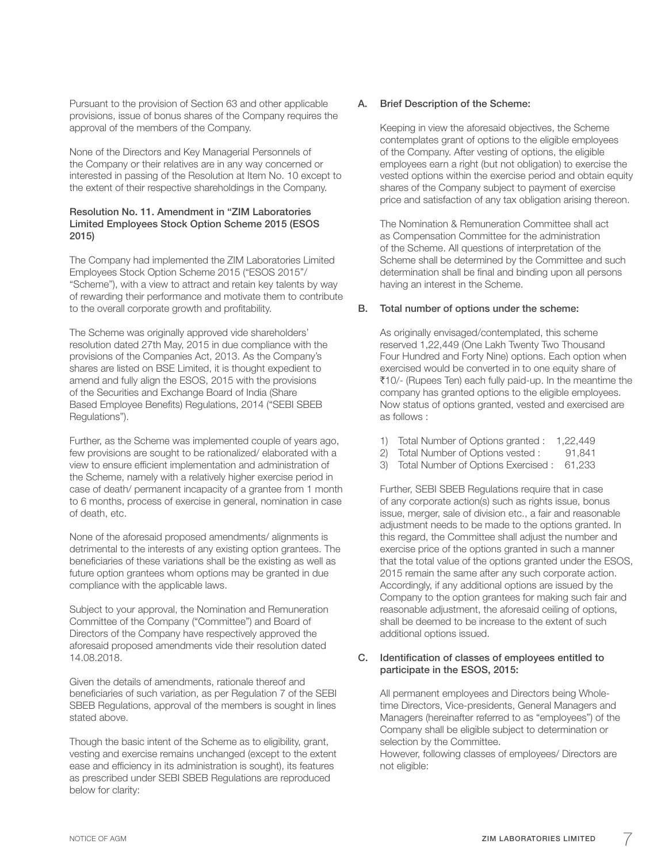Pursuant to the provision of Section 63 and other applicable provisions, issue of bonus shares of the Company requires the approval of the members of the Company.

None of the Directors and Key Managerial Personnels of the Company or their relatives are in any way concerned or interested in passing of the Resolution at Item No. 10 except to the extent of their respective shareholdings in the Company.

#### Resolution No. 11. Amendment in "ZIM Laboratories Limited Employees Stock Option Scheme 2015 (ESOS 2015)

The Company had implemented the ZIM Laboratories Limited Employees Stock Option Scheme 2015 ("ESOS 2015"/ "Scheme"), with a view to attract and retain key talents by way of rewarding their performance and motivate them to contribute to the overall corporate growth and profitability.

The Scheme was originally approved vide shareholders' resolution dated 27th May, 2015 in due compliance with the provisions of the Companies Act, 2013. As the Company's shares are listed on BSE Limited, it is thought expedient to amend and fully align the ESOS, 2015 with the provisions of the Securities and Exchange Board of India (Share Based Employee Benefits) Regulations, 2014 ("SEBI SBEB Regulations").

Further, as the Scheme was implemented couple of years ago, few provisions are sought to be rationalized/ elaborated with a view to ensure efficient implementation and administration of the Scheme, namely with a relatively higher exercise period in case of death/ permanent incapacity of a grantee from 1 month to 6 months, process of exercise in general, nomination in case of death, etc.

None of the aforesaid proposed amendments/ alignments is detrimental to the interests of any existing option grantees. The beneficiaries of these variations shall be the existing as well as future option grantees whom options may be granted in due compliance with the applicable laws.

Subject to your approval, the Nomination and Remuneration Committee of the Company ("Committee") and Board of Directors of the Company have respectively approved the aforesaid proposed amendments vide their resolution dated 14.08.2018.

Given the details of amendments, rationale thereof and beneficiaries of such variation, as per Regulation 7 of the SEBI SBEB Regulations, approval of the members is sought in lines stated above.

Though the basic intent of the Scheme as to eligibility, grant, vesting and exercise remains unchanged (except to the extent ease and efficiency in its administration is sought), its features as prescribed under SEBI SBEB Regulations are reproduced below for clarity:

## A. Brief Description of the Scheme:

Keeping in view the aforesaid objectives, the Scheme contemplates grant of options to the eligible employees of the Company. After vesting of options, the eligible employees earn a right (but not obligation) to exercise the vested options within the exercise period and obtain equity shares of the Company subject to payment of exercise price and satisfaction of any tax obligation arising thereon.

The Nomination & Remuneration Committee shall act as Compensation Committee for the administration of the Scheme. All questions of interpretation of the Scheme shall be determined by the Committee and such determination shall be final and binding upon all persons having an interest in the Scheme.

#### B. Total number of options under the scheme:

As originally envisaged/contemplated, this scheme reserved 1,22,449 (One Lakh Twenty Two Thousand Four Hundred and Forty Nine) options. Each option when exercised would be converted in to one equity share of `10/- (Rupees Ten) each fully paid-up. In the meantime the company has granted options to the eligible employees. Now status of options granted, vested and exercised are as follows :

- 1) Total Number of Options granted : 1,22,449
- 2) Total Number of Options vested : 91,841
- 3) Total Number of Options Exercised : 61,233

Further, SEBI SBEB Regulations require that in case of any corporate action(s) such as rights issue, bonus issue, merger, sale of division etc., a fair and reasonable adjustment needs to be made to the options granted. In this regard, the Committee shall adjust the number and exercise price of the options granted in such a manner that the total value of the options granted under the ESOS, 2015 remain the same after any such corporate action. Accordingly, if any additional options are issued by the Company to the option grantees for making such fair and reasonable adjustment, the aforesaid ceiling of options, shall be deemed to be increase to the extent of such additional options issued.

#### C. Identification of classes of employees entitled to participate in the ESOS, 2015:

All permanent employees and Directors being Wholetime Directors, Vice-presidents, General Managers and Managers (hereinafter referred to as "employees") of the Company shall be eligible subject to determination or selection by the Committee.

However, following classes of employees/ Directors are not eligible: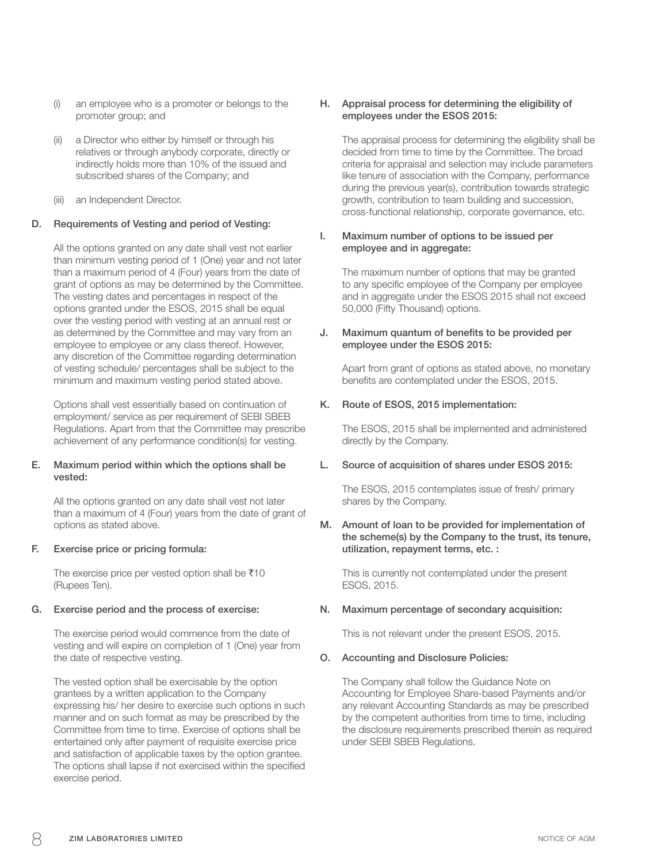- (i) an employee who is a promoter or belongs to the promoter group; and
- (ii) a Director who either by himself or through his relatives or through anybody corporate, directly or indirectly holds more than 10% of the issued and subscribed shares of the Company; and
- (iii) an Independent Director.

#### D. Requirements of Vesting and period of Vesting:

All the options granted on any date shall vest not earlier than minimum vesting period of 1 (One) year and not later than a maximum period of 4 (Four) years from the date of grant of options as may be determined by the Committee. The vesting dates and percentages in respect of the options granted under the ESOS, 2015 shall be equal over the vesting period with vesting at an annual rest or as determined by the Committee and may vary from an employee to employee or any class thereof. However, any discretion of the Committee regarding determination of vesting schedule/ percentages shall be subject to the minimum and maximum vesting period stated above.

Options shall vest essentially based on continuation of employment/ service as per requirement of SEBI SBEB Regulations. Apart from that the Committee may prescribe achievement of any performance condition(s) for vesting.

#### E. Maximum period within which the options shall be vested:

All the options granted on any date shall vest not later than a maximum of 4 (Four) years from the date of grant of options as stated above.

#### F. Exercise price or pricing formula:

The exercise price per vested option shall be  $\bar{x}$ 10 (Rupees Ten).

#### G. Exercise period and the process of exercise:

The exercise period would commence from the date of vesting and will expire on completion of 1 (One) year from the date of respective vesting.

The vested option shall be exercisable by the option grantees by a written application to the Company expressing his/ her desire to exercise such options in such manner and on such format as may be prescribed by the Committee from time to time. Exercise of options shall be entertained only after payment of requisite exercise price and satisfaction of applicable taxes by the option grantee. The options shall lapse if not exercised within the specified exercise period.

#### H. Appraisal process for determining the eligibility of employees under the ESOS 2015:

The appraisal process for determining the eligibility shall be decided from time to time by the Committee. The broad criteria for appraisal and selection may include parameters like tenure of association with the Company, performance during the previous year(s), contribution towards strategic growth, contribution to team building and succession, cross-functional relationship, corporate governance, etc.

#### I. Maximum number of options to be issued per employee and in aggregate:

The maximum number of options that may be granted to any specific employee of the Company per employee and in aggregate under the ESOS 2015 shall not exceed 50,000 (Fifty Thousand) options.

#### J. Maximum quantum of benefits to be provided per employee under the ESOS 2015:

Apart from grant of options as stated above, no monetary benefits are contemplated under the ESOS, 2015.

#### K. Route of ESOS, 2015 implementation:

The ESOS, 2015 shall be implemented and administered directly by the Company.

#### L. Source of acquisition of shares under ESOS 2015:

The ESOS, 2015 contemplates issue of fresh/ primary shares by the Company.

#### M. Amount of loan to be provided for implementation of the scheme(s) by the Company to the trust, its tenure, utilization, repayment terms, etc. :

This is currently not contemplated under the present ESOS, 2015.

#### N. Maximum percentage of secondary acquisition:

This is not relevant under the present ESOS, 2015.

#### O. Accounting and Disclosure Policies:

The Company shall follow the Guidance Note on Accounting for Employee Share-based Payments and/or any relevant Accounting Standards as may be prescribed by the competent authorities from time to time, including the disclosure requirements prescribed therein as required under SEBI SBEB Regulations.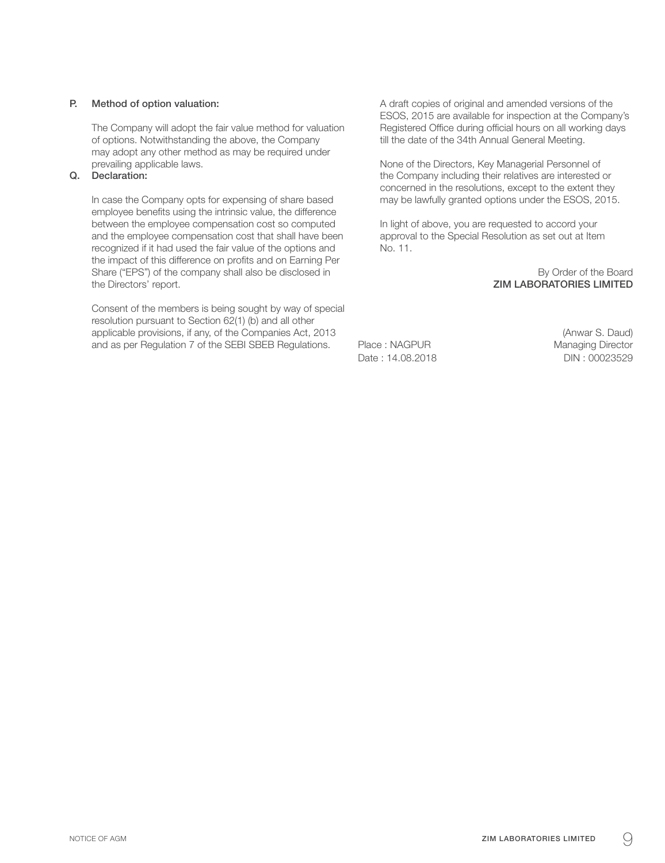#### P. Method of option valuation:

The Company will adopt the fair value method for valuation of options. Notwithstanding the above, the Company may adopt any other method as may be required under prevailing applicable laws.

### Q. Declaration:

In case the Company opts for expensing of share based employee benefits using the intrinsic value, the difference between the employee compensation cost so computed and the employee compensation cost that shall have been recognized if it had used the fair value of the options and the impact of this difference on profits and on Earning Per Share ("EPS") of the company shall also be disclosed in the Directors' report.

Consent of the members is being sought by way of special resolution pursuant to Section 62(1) (b) and all other applicable provisions, if any, of the Companies Act, 2013 and as per Regulation 7 of the SEBI SBEB Regulations.

A draft copies of original and amended versions of the ESOS, 2015 are available for inspection at the Company's Registered Office during official hours on all working days till the date of the 34th Annual General Meeting.

None of the Directors, Key Managerial Personnel of the Company including their relatives are interested or concerned in the resolutions, except to the extent they may be lawfully granted options under the ESOS, 2015.

In light of above, you are requested to accord your approval to the Special Resolution as set out at Item No. 11.

> By Order of the Board ZIM LABORATORIES LIMITED

Place : NAGPUR Managing Director Date : 14.08.2018 Date : 14.08.2018

(Anwar S. Daud)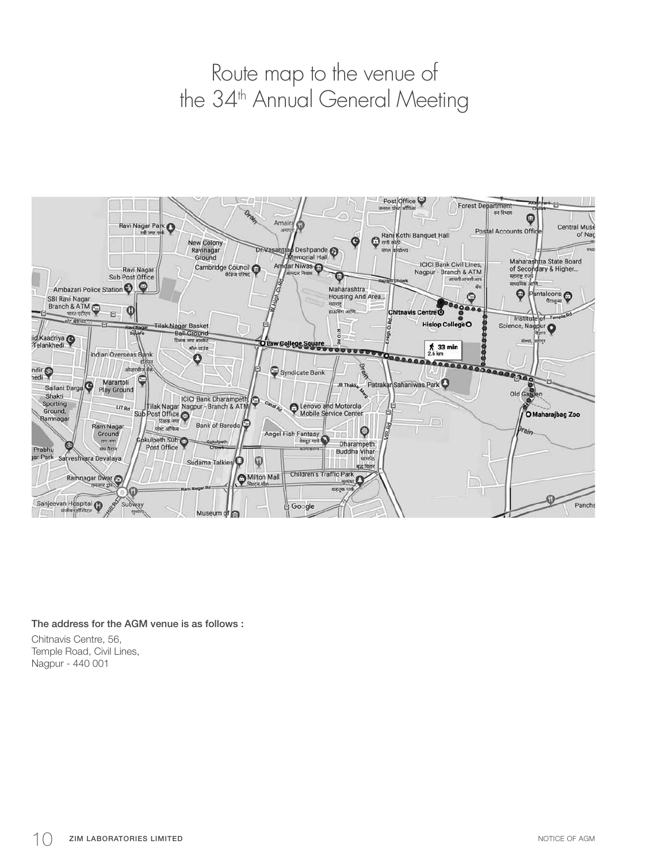# Route map to the venue of the 34<sup>th</sup> Annual General Meeting



The address for the AGM venue is as follows : Chitnavis Centre, 56,

Temple Road, Civil Lines, Nagpur - 440 001